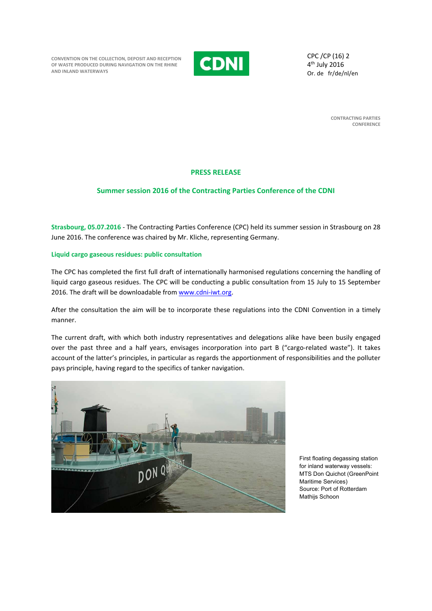**CONVENTION ON THE COLLECTION, DEPOSIT AND RECEPTION OF WASTE PRODUCED DURING NAVIGATION ON THE RHINE AND INLAND WATERWAYS** 



CPC /CP (16) 2 4th July 2016 Or. de fr/de/nl/en

> **CONTRACTING PARTIES CONFERENCE**

# **PRESS RELEASE**

# **Summer session 2016 of the Contracting Parties Conference of the CDNI**

**Strasbourg, 05.07.2016** ‐ The Contracting Parties Conference (CPC) held its summer session in Strasbourg on 28 June 2016. The conference was chaired by Mr. Kliche, representing Germany.

# **Liquid cargo gaseous residues: public consultation**

The CPC has completed the first full draft of internationally harmonised regulations concerning the handling of liquid cargo gaseous residues. The CPC will be conducting a public consultation from 15 July to 15 September 2016. The draft will be downloadable from www.cdni-iwt.org.

After the consultation the aim will be to incorporate these regulations into the CDNI Convention in a timely manner.

The current draft, with which both industry representatives and delegations alike have been busily engaged over the past three and a half years, envisages incorporation into part B ("cargo‐related waste"). It takes account of the latter's principles, in particular as regards the apportionment of responsibilities and the polluter pays principle, having regard to the specifics of tanker navigation.



First floating degassing station for inland waterway vessels: MTS Don Quichot (GreenPoint Maritime Services) Source: Port of Rotterdam Mathijs Schoon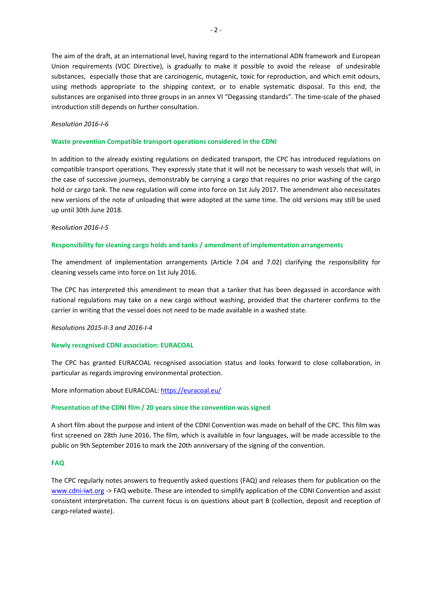The aim of the draft, at an international level, having regard to the international ADN framework and European Union requirements (VOC Directive), is gradually to make it possible to avoid the release of undesirable substances, especially those that are carcinogenic, mutagenic, toxic for reproduction, and which emit odours, using methods appropriate to the shipping context, or to enable systematic disposal. To this end, the substances are organised into three groups in an annex VI "Degassing standards". The time‐scale of the phased introduction still depends on further consultation.

### *Resolution 2016‐I‐6*

#### **Waste prevention Compatible transport operations considered in the CDNI**

In addition to the already existing regulations on dedicated transport, the CPC has introduced regulations on compatible transport operations. They expressly state that it will not be necessary to wash vessels that will, in the case of successive journeys, demonstrably be carrying a cargo that requires no prior washing of the cargo hold or cargo tank. The new regulation will come into force on 1st July 2017. The amendment also necessitates new versions of the note of unloading that were adopted at the same time. The old versions may still be used up until 30th June 2018.

#### *Resolution 2016‐I‐5*

#### **Responsibility for cleaning cargo holds and tanks / amendment of implementation arrangements**

The amendment of implementation arrangements (Article 7.04 and 7.02) clarifying the responsibility for cleaning vessels came into force on 1st July 2016.

The CPC has interpreted this amendment to mean that a tanker that has been degassed in accordance with national regulations may take on a new cargo without washing, provided that the charterer confirms to the carrier in writing that the vessel does not need to be made available in a washed state.

#### *Resolutions 2015‐II‐3 and 2016‐I‐4*

#### **Newly recognised CDNI association: EURACOAL**

The CPC has granted EURACOAL recognised association status and looks forward to close collaboration, in particular as regards improving environmental protection.

# More information about EURACOAL: https://euracoal.eu/

### **Presentation of the CDNI film / 20 years since the convention was signed**

A short film about the purpose and intent of the CDNI Convention was made on behalf of the CPC. This film was first screened on 28th June 2016. The film, which is available in four languages, will be made accessible to the public on 9th September 2016 to mark the 20th anniversary of the signing of the convention.

# **FAQ**

The CPC regularly notes answers to frequently asked questions (FAQ) and releases them for publication on the www.cdni-iwt.org -> FAQ website. These are intended to simplify application of the CDNI Convention and assist consistent interpretation. The current focus is on questions about part B (collection, deposit and reception of cargo‐related waste).